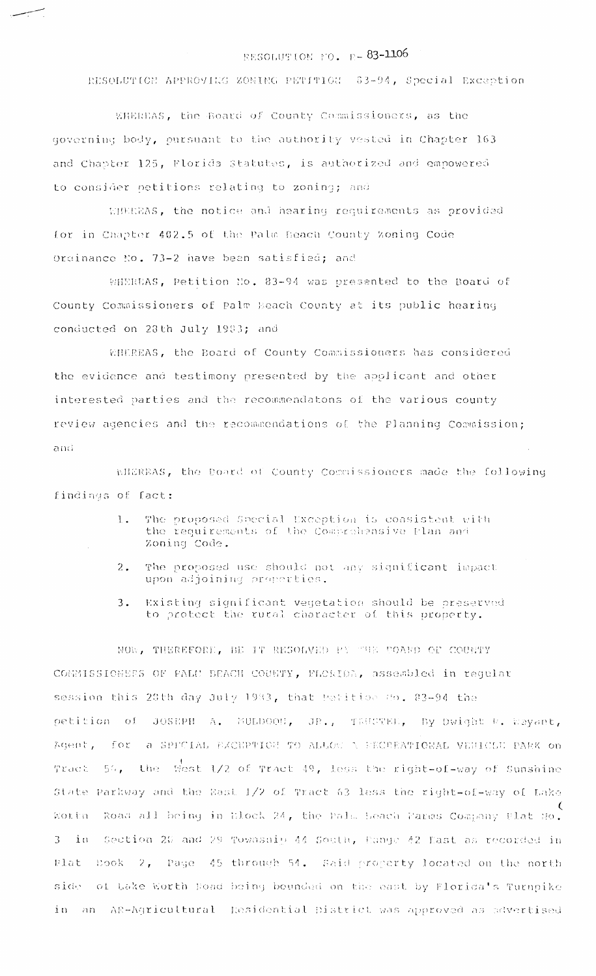## RESOLUTION FO. R-83-1106

RESOLUTION APPROVING ZONING PETITION 83-94, Special Exception

EHEREAS, the Board of County Commissioners, as the governing body, pursuant to the authority vested in Chapter 163 and Chapter 125, Florida Statutes, is authorized and empowered to consider petitions relating to zoning; and

MIEREAS, the notice and hearing requirements as provided for in Chapter 402.5 of the Palm Heach County Zoning Code Ordinance No. 73-2 have been satisfied; and

WHEREAS, Petition No. 83-94 was presented to the Board of County Commissioners of Palm Beach County at its public hearing conducted on 23th July 1983; and

WHEREAS, the Board of County Commissioners has considered the evidence and testimony presented by the applicant and other interested parties and the recommendatons of the various county review agencies and the recommendations of the Planning Commission;  $and$ 

ENEEEAS, the Board of County Commissioners made the following findings of fact:

- The proposed Special Exception is coasistent with  $\mathbf{1}$ . the requirements of the Combrehensive Flan and Zoning Code.
- The proposed use should not any significant impact  $2.1$ upon adjoining properties.
- Existing significant vegetation should be preserved  $3.$ to protect the rural character of this property.

NOW, THEREFORE, BE IT RESOLVED PY THE COARD OF COUNTY COMMISSIONERS OF PALU BEACH COUNTY, FLORIDA, assembled in regular session this 20th day July 1983, that Petition No. 83-94 the petition of JOSEPH A. MULDOOG, JR., TEUCTEL, By Dwight R. Wayant, Agent, for a SPPCIAL EXCEPTION TO ALLOW A FECREATIONAL VEHICLE PARK on the west 1/2 of Tract 49, less the right-of-way of Sunshine Tract  $56.$ State Parkway and the East 1/2 of Tract 63 lass the right-of-way of Lake Road all being in Elock 24, the Pala Leach Paras Company Plat No. Worth.  $\mathbf{i}$  n Section 20 and 29 Township 44 South, hange 42 East as recorded in  $\overline{3}$ Book 2, Page 45 through 54. Said property located on the north plat. side of take worth Road being bounded on the east by Florida's Turnpike in an AR-Agricultural Residential District was approved as advertised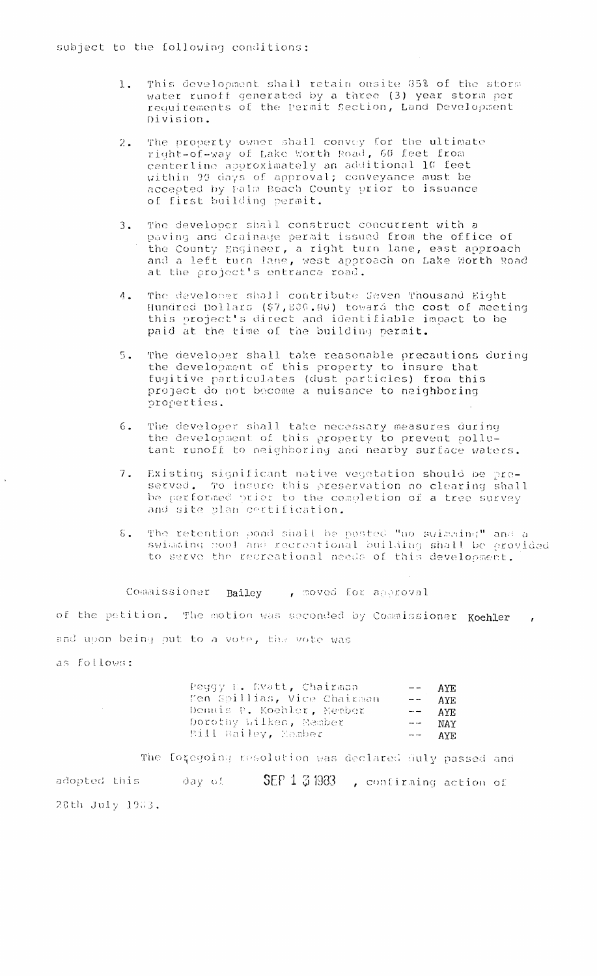- This development shall retain onsite 35% of the storm 1. water runoff generated by a three (3) year storm per requirements of the Permit Section, Land Development Division.
- The property owner shall convey for the ultimate  $2.$ right-of-way of Lake Worth Road, 60 feet from centerline approximately an additional 10 feet within 99 days of approval; conveyance must be<br>accepted by Palm Beach County prior to issuance of first building permit.
- The developer shall construct concurrent with a  $3.$ paving and drainage permit issued from the office of the County Engineer, a right turn lane, east approach and a left turn lane, west approach on Lake Worth Road at the project's entrance road.
- The developer shall contribute Seven Thousand Eight  $\Lambda$ . Hundred Dollars (\$7,800.00) toward the cost of meeting<br>this project's direct and identifiable impact to be paid at the time of the building permit.
- The developer shall take reasonable precautions during  $5.$ the development of this property to insure that fugitive particulates (dust particles) from this<br>project do not become a nuisance to neighboring properties.
- The developer shall take necessary measures during  $6.$ the development of this property to prevent pollutant runoff to neighboring and nearby surface waters.
- Existing significant native vegetation should be pre- $7.$ served. To insure this preservation no clearing shall be performed prior to the completion of a tree survey and site plan cortification.
- The retention pond shall be posted "no swimming" and a swimming pool and recreational building shall be provided  $\delta$ . to serve the recreational needs of this development.

Commissioner Bailey , moved for approval

of the petition. The motion was seconded by Commissioner Koehler, and upon being put to a vote, the vote was

as follows:

| Peggy E. Evatt, Chairman    | $\rightarrow$ $\rightarrow$ $\rightarrow$ | AYE.    |
|-----------------------------|-------------------------------------------|---------|
| Men Spillias, Vice Chairman |                                           | $  AYE$ |
| Dennis P. Koehler, Nember   | المستسل                                   | AYE.    |
| Dorothy Wilken, Nember      | $\sim$ $\sim$                             | NAY     |
| Pill Bailey, Kamber         | $\overline{\phantom{m}}$                  | AYE.    |

The foregoing resolution was declared duly passed and adopted this a day of  $SEP 1 3 1983$ , confirming action of 28th July 1983.